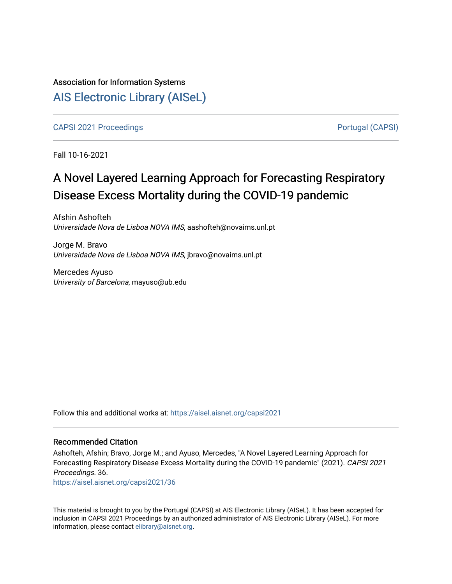# Association for Information Systems [AIS Electronic Library \(AISeL\)](https://aisel.aisnet.org/)

[CAPSI 2021 Proceedings](https://aisel.aisnet.org/capsi2021) **Portugal (CAPSI)** Portugal (CAPSI)

Fall 10-16-2021

# A Novel Layered Learning Approach for Forecasting Respiratory Disease Excess Mortality during the COVID-19 pandemic

Afshin Ashofteh Universidade Nova de Lisboa NOVA IMS, aashofteh@novaims.unl.pt

Jorge M. Bravo Universidade Nova de Lisboa NOVA IMS, jbravo@novaims.unl.pt

Mercedes Ayuso University of Barcelona, mayuso@ub.edu

Follow this and additional works at: [https://aisel.aisnet.org/capsi2021](https://aisel.aisnet.org/capsi2021?utm_source=aisel.aisnet.org%2Fcapsi2021%2F36&utm_medium=PDF&utm_campaign=PDFCoverPages)

## Recommended Citation

Ashofteh, Afshin; Bravo, Jorge M.; and Ayuso, Mercedes, "A Novel Layered Learning Approach for Forecasting Respiratory Disease Excess Mortality during the COVID-19 pandemic" (2021). CAPSI 2021 Proceedings. 36.

[https://aisel.aisnet.org/capsi2021/36](https://aisel.aisnet.org/capsi2021/36?utm_source=aisel.aisnet.org%2Fcapsi2021%2F36&utm_medium=PDF&utm_campaign=PDFCoverPages) 

This material is brought to you by the Portugal (CAPSI) at AIS Electronic Library (AISeL). It has been accepted for inclusion in CAPSI 2021 Proceedings by an authorized administrator of AIS Electronic Library (AISeL). For more information, please contact [elibrary@aisnet.org.](mailto:elibrary@aisnet.org%3E)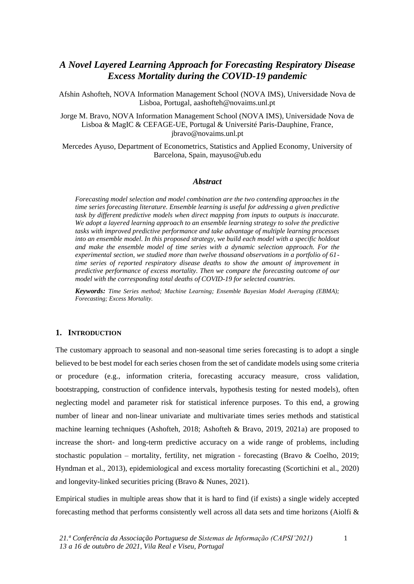## *A Novel Layered Learning Approach for Forecasting Respiratory Disease Excess Mortality during the COVID-19 pandemic*

Afshin Ashofteh, NOVA Information Management School (NOVA IMS), Universidade Nova de Lisboa, Portugal, aashofteh@novaims.unl.pt

Jorge M. Bravo, NOVA Information Management School (NOVA IMS), Universidade Nova de Lisboa & MagIC & CEFAGE-UE, Portugal & Université Paris-Dauphine, France, jbravo@novaims.unl.pt

Mercedes Ayuso, Department of Econometrics, Statistics and Applied Economy, University of Barcelona, Spain, mayuso@ub.edu

## *Abstract*

*Forecasting model selection and model combination are the two contending approaches in the time series forecasting literature. Ensemble learning is useful for addressing a given predictive task by different predictive models when direct mapping from inputs to outputs is inaccurate. We adopt a layered learning approach to an ensemble learning strategy to solve the predictive tasks with improved predictive performance and take advantage of multiple learning processes into an ensemble model. In this proposed strategy, we build each model with a specific holdout and make the ensemble model of time series with a dynamic selection approach. For the experimental section, we studied more than twelve thousand observations in a portfolio of 61 time series of reported respiratory disease deaths to show the amount of improvement in predictive performance of excess mortality. Then we compare the forecasting outcome of our model with the corresponding total deaths of COVID-19 for selected countries.*

*Keywords: Time Series method; Machine Learning; Ensemble Bayesian Model Averaging (EBMA); Forecasting; Excess Mortality.*

#### **1. INTRODUCTION**

The customary approach to seasonal and non-seasonal time series forecasting is to adopt a single believed to be best model for each series chosen from the set of candidate models using some criteria or procedure (e.g., information criteria, forecasting accuracy measure, cross validation, bootstrapping, construction of confidence intervals, hypothesis testing for nested models), often neglecting model and parameter risk for statistical inference purposes. To this end, a growing number of linear and non-linear univariate and multivariate times series methods and statistical machine learning techniques (Ashofteh, 2018; Ashofteh & Bravo, 2019, 2021a) are proposed to increase the short- and long-term predictive accuracy on a wide range of problems, including stochastic population – mortality, fertility, net migration - forecasting (Bravo & Coelho, 2019; Hyndman et al., 2013), epidemiological and excess mortality forecasting (Scortichini et al., 2020) and longevity-linked securities pricing (Bravo & Nunes, 2021).

Empirical studies in multiple areas show that it is hard to find (if exists) a single widely accepted forecasting method that performs consistently well across all data sets and time horizons (Aiolfi &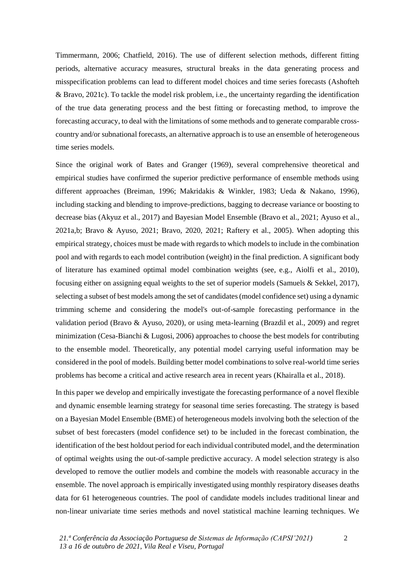Timmermann, 2006; Chatfield, 2016). The use of different selection methods, different fitting periods, alternative accuracy measures, structural breaks in the data generating process and misspecification problems can lead to different model choices and time series forecasts (Ashofteh & Bravo, 2021c). To tackle the model risk problem, i.e., the uncertainty regarding the identification of the true data generating process and the best fitting or forecasting method, to improve the forecasting accuracy, to deal with the limitations of some methods and to generate comparable crosscountry and/or subnational forecasts, an alternative approach is to use an ensemble of heterogeneous time series models.

Since the original work of Bates and Granger (1969), several comprehensive theoretical and empirical studies have confirmed the superior predictive performance of ensemble methods using different approaches (Breiman, 1996; Makridakis & Winkler, 1983; Ueda & Nakano, 1996), including stacking and blending to improve-predictions, bagging to decrease variance or boosting to decrease bias (Akyuz et al., 2017) and Bayesian Model Ensemble (Bravo et al., 2021; Ayuso et al., 2021a,b; Bravo & Ayuso, 2021; Bravo, 2020, 2021; Raftery et al., 2005). When adopting this empirical strategy, choices must be made with regards to which models to include in the combination pool and with regards to each model contribution (weight) in the final prediction. A significant body of literature has examined optimal model combination weights (see, e.g., Aiolfi et al., 2010), focusing either on assigning equal weights to the set of superior models (Samuels & Sekkel, 2017), selecting a subset of best models among the set of candidates (model confidence set) using a dynamic trimming scheme and considering the model's out-of-sample forecasting performance in the validation period (Bravo & Ayuso, 2020), or using meta-learning (Brazdil et al., 2009) and regret minimization (Cesa-Bianchi & Lugosi, 2006) approaches to choose the best models for contributing to the ensemble model. Theoretically, any potential model carrying useful information may be considered in the pool of models. Building better model combinations to solve real-world time series problems has become a critical and active research area in recent years (Khairalla et al., 2018).

In this paper we develop and empirically investigate the forecasting performance of a novel flexible and dynamic ensemble learning strategy for seasonal time series forecasting. The strategy is based on a Bayesian Model Ensemble (BME) of heterogeneous models involving both the selection of the subset of best forecasters (model confidence set) to be included in the forecast combination, the identification of the best holdout period for each individual contributed model, and the determination of optimal weights using the out-of-sample predictive accuracy. A model selection strategy is also developed to remove the outlier models and combine the models with reasonable accuracy in the ensemble. The novel approach is empirically investigated using monthly respiratory diseases deaths data for 61 heterogeneous countries. The pool of candidate models includes traditional linear and non-linear univariate time series methods and novel statistical machine learning techniques. We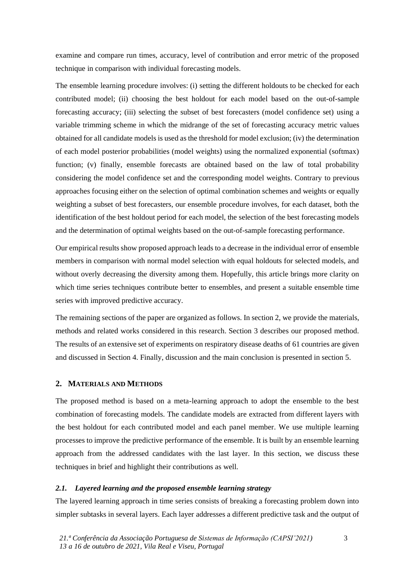examine and compare run times, accuracy, level of contribution and error metric of the proposed technique in comparison with individual forecasting models.

The ensemble learning procedure involves: (i) setting the different holdouts to be checked for each contributed model; (ii) choosing the best holdout for each model based on the out-of-sample forecasting accuracy; (iii) selecting the subset of best forecasters (model confidence set) using a variable trimming scheme in which the midrange of the set of forecasting accuracy metric values obtained for all candidate models is used as the threshold for model exclusion; (iv) the determination of each model posterior probabilities (model weights) using the normalized exponential (softmax) function; (v) finally, ensemble forecasts are obtained based on the law of total probability considering the model confidence set and the corresponding model weights. Contrary to previous approaches focusing either on the selection of optimal combination schemes and weights or equally weighting a subset of best forecasters, our ensemble procedure involves, for each dataset, both the identification of the best holdout period for each model, the selection of the best forecasting models and the determination of optimal weights based on the out-of-sample forecasting performance.

Our empirical results show proposed approach leads to a decrease in the individual error of ensemble members in comparison with normal model selection with equal holdouts for selected models, and without overly decreasing the diversity among them. Hopefully, this article brings more clarity on which time series techniques contribute better to ensembles, and present a suitable ensemble time series with improved predictive accuracy.

The remaining sections of the paper are organized as follows. In section 2, we provide the materials, methods and related works considered in this research. Section 3 describes our proposed method. The results of an extensive set of experiments on respiratory disease deaths of 61 countries are given and discussed in Section 4. Finally, discussion and the main conclusion is presented in section 5.

## **2. MATERIALS AND METHODS**

The proposed method is based on a meta-learning approach to adopt the ensemble to the best combination of forecasting models. The candidate models are extracted from different layers with the best holdout for each contributed model and each panel member. We use multiple learning processes to improve the predictive performance of the ensemble. It is built by an ensemble learning approach from the addressed candidates with the last layer. In this section, we discuss these techniques in brief and highlight their contributions as well.

## *2.1. Layered learning and the proposed ensemble learning strategy*

The layered learning approach in time series consists of breaking a forecasting problem down into simpler subtasks in several layers. Each layer addresses a different predictive task and the output of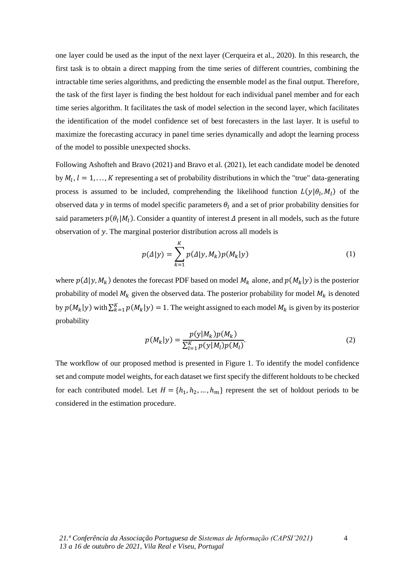one layer could be used as the input of the next layer (Cerqueira et al., 2020). In this research, the first task is to obtain a direct mapping from the time series of different countries, combining the intractable time series algorithms, and predicting the ensemble model as the final output. Therefore, the task of the first layer is finding the best holdout for each individual panel member and for each time series algorithm. It facilitates the task of model selection in the second layer, which facilitates the identification of the model confidence set of best forecasters in the last layer. It is useful to maximize the forecasting accuracy in panel time series dynamically and adopt the learning process of the model to possible unexpected shocks.

Following Ashofteh and Bravo (2021) and Bravo et al. (2021), let each candidate model be denoted by  $M_l$ ,  $l = 1, ..., K$  representing a set of probability distributions in which the "true" data-generating process is assumed to be included, comprehending the likelihood function  $L(y|\theta_l, M_l)$  of the observed data y in terms of model specific parameters  $\theta_l$  and a set of prior probability densities for said parameters  $p(\theta_l|M_l)$ . Consider a quantity of interest  $\Delta$  present in all models, such as the future observation of  $y$ . The marginal posterior distribution across all models is

$$
p(\Delta|y) = \sum_{k=1}^{K} p(\Delta|y, M_k) p(M_k|y)
$$
\n(1)

where  $p(\Delta|y, M_k)$  denotes the forecast PDF based on model  $M_k$  alone, and  $p(M_k|y)$  is the posterior probability of model  $M_k$  given the observed data. The posterior probability for model  $M_k$  is denoted by  $p(M_k|y)$  with  $\sum_{k=1}^{K} p(M_k|y) = 1$ . The weight assigned to each model  $M_k$  is given by its posterior probability

$$
p(M_k|y) = \frac{p(y|M_k)p(M_k)}{\sum_{l=1}^{K} p(y|M_l)p(M_l)}.
$$
\n(2)

The workflow of our proposed method is presented in Figure 1. To identify the model confidence set and compute model weights, for each dataset we first specify the different holdouts to be checked for each contributed model. Let  $H = \{h_1, h_2, ..., h_m\}$  represent the set of holdout periods to be considered in the estimation procedure.

4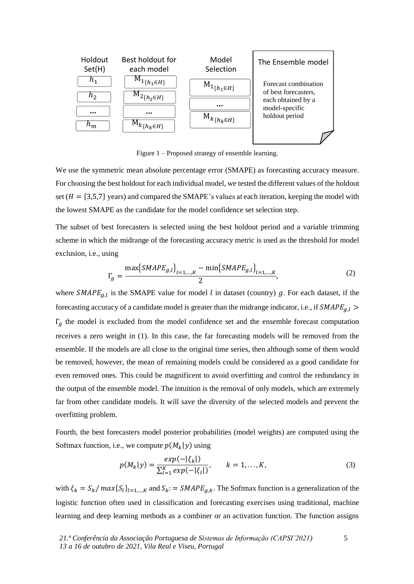

Figure 1 – Proposed strategy of ensemble learning.

We use the symmetric mean absolute percentage error (SMAPE) as forecasting accuracy measure. For choosing the best holdout for each individual model, we tested the different values of the holdout set ( $H = \{3,5,7\}$  years) and compared the SMAPE's values at each iteration, keeping the model with the lowest SMAPE as the candidate for the model confidence set selection step.

The subset of best forecasters is selected using the best holdout period and a variable trimming scheme in which the midrange of the forecasting accuracy metric is used as the threshold for model exclusion, i.e., using

$$
\Gamma_g = \frac{\max\{SMAPE_{g,l}\}_{l=1,\dots,K} - \min\{SMAPE_{g,l}\}_{l=1,\dots,K}}{2},\tag{2}
$$

where  $SMAPE_{g,l}$  is the SMAPE value for model *l* in dataset (country) g. For each dataset, if the forecasting accuracy of a candidate model is greater than the midrange indicator, i.e., if  $SMAPE_{g,l}$  >  $\Gamma_a$  the model is excluded from the model confidence set and the ensemble forecast computation receives a zero weight in (1). In this case, the far forecasting models will be removed from the ensemble. If the models are all close to the original time series, then although some of them would be removed, however, the mean of remaining models could be considered as a good candidate for even removed ones. This could be magnificent to avoid overfitting and control the redundancy in the output of the ensemble model. The intuition is the removal of only models, which are extremely far from other candidate models. It will save the diversity of the selected models and prevent the overfitting problem.

Fourth, the best forecasters model posterior probabilities (model weights) are computed using the Softmax function, i.e., we compute  $p(M_k|y)$  using

$$
p(M_k|y) = \frac{exp(-|\xi_k|)}{\sum_{l=1}^{K} exp(-|\xi_l|)}, \qquad k = 1, ..., K,
$$
 (3)

with  $\xi_k = S_k / max\{S_l\}_{l=1,\dots,K}$  and  $S_k := SMAPE_{g,k}$ . The Softmax function is a generalization of the logistic function often used in classification and forecasting exercises using traditional, machine learning and deep learning methods as a combiner or an activation function. The function assigns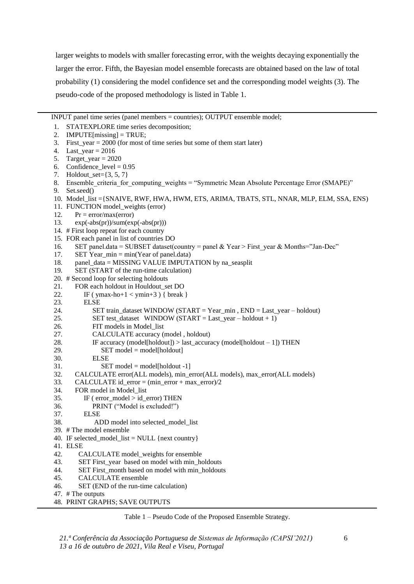larger weights to models with smaller forecasting error, with the weights decaying exponentially the larger the error. Fifth, the Bayesian model ensemble forecasts are obtained based on the law of total probability (1) considering the model confidence set and the corresponding model weights (3). The pseudo-code of the proposed methodology is listed in Table 1.

INPUT panel time series (panel members = countries); OUTPUT ensemble model;

- 1. STATEXPLORE time series decomposition;
- 2. **IMPUTE**[missing] = TRUE;
- 3. First\_year = 2000 (for most of time series but some of them start later)
- 4. Last\_year = 2016
- 5. Target\_year =  $2020$
- 6. Confidence\_level =  $0.95$
- 7. Holdout\_set={3, 5, 7}
- 8. Ensemble criteria for computing weights = "Symmetric Mean Absolute Percentage Error (SMAPE)"
- 9. Set.seed()
- 10. Model\_list ={SNAIVE, RWF, HWA, HWM, ETS, ARIMA, TBATS, STL, NNAR, MLP, ELM, SSA, ENS)
- 11. FUNCTION model\_weights (error)
- 12. Pr =  $error/max(error)$
- 13. exp(-abs(pr))/sum(exp(-abs(pr)))
- 14. # First loop repeat for each country
- 15. FOR each panel in list of countries DO
- 16. SET panel.data = SUBSET dataset(country = panel & Year > First\_year & Months="Jan-Dec"
- 17. SET Year  $min = min(Year of panel.data)$
- 18. panel data = MISSING VALUE IMPUTATION by na\_seasplit
- 19. SET (START of the run-time calculation)
- 20. # Second loop for selecting holdouts
- 21. FOR each holdout in Houldout set DO
- 22. IF ( $ymax-ho+1 < ymin+3$ ) { break }
- 23. ELSE
- 24. SET train\_dataset WINDOW (START = Year\_min , END = Last\_year holdout)
- 25. SET test\_dataset WINDOW (START = Last\_year holdout + 1)
- 26. FIT models in Model\_list
- 27. CALCULATE accuracy (model , holdout)
- 28. IF accuracy (model[holdout]) > last\_accuracy (model[holdout 1]) THEN
- $29.$  SET model = model[holdout]
- 30. ELSE
- $31.$  SET model = model[holdout -1]
- 32. CALCULATE error(ALL models), min\_error(ALL models), max\_error(ALL models)
- 33. CALCULATE id  $error = (min\_error + max\_error)/2$
- 34. FOR model in Model\_list
- 35. IF ( error\_model > id\_error) THEN
- 36. PRINT ("Model is excluded!")
- 37. ELSE
- 38. ADD model into selected model list
- 39. # The model ensemble
- 40. IF selected model  $list = NULL$  {next country}
- 41. ELSE
- 42. CALCULATE model\_weights for ensemble
- 43. SET First\_year based on model with min\_holdouts
- 44. SET First\_month based on model with min\_holdouts
- 45. CALCULATE ensemble
- 46. SET (END of the run-time calculation)
- 47. # The outputs
- 48. PRINT GRAPHS; SAVE OUTPUTS

Table 1 – Pseudo Code of the Proposed Ensemble Strategy.

*21.ª Conferência da Associação Portuguesa de Sistemas de Informação (CAPSI'2021) 13 a 16 de outubro de 2021, Vila Real e Viseu, Portugal*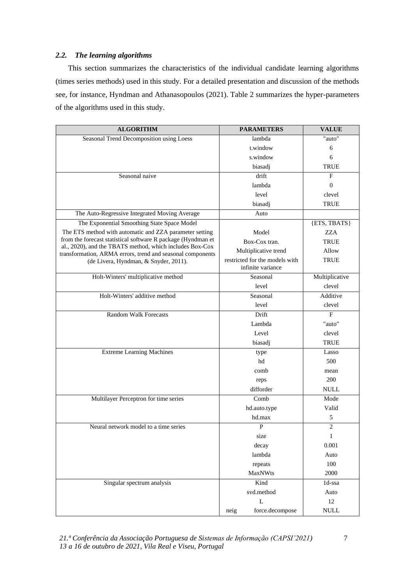## *2.2. The learning algorithms*

This section summarizes the characteristics of the individual candidate learning algorithms (times series methods) used in this study. For a detailed presentation and discussion of the methods see, for instance, Hyndman and Athanasopoulos (2021). Table 2 summarizes the hyper-parameters of the algorithms used in this study.

| <b>ALGORITHM</b>                                                                                                       | <b>PARAMETERS</b>              | <b>VALUE</b>                 |  |  |
|------------------------------------------------------------------------------------------------------------------------|--------------------------------|------------------------------|--|--|
| Seasonal Trend Decomposition using Loess                                                                               | lambda                         | "auto"                       |  |  |
|                                                                                                                        | t.window                       | 6                            |  |  |
|                                                                                                                        | s.window                       | 6                            |  |  |
|                                                                                                                        | biasadj                        | <b>TRUE</b>                  |  |  |
| Seasonal naive                                                                                                         | drift                          | F                            |  |  |
|                                                                                                                        | lambda                         | $\theta$                     |  |  |
|                                                                                                                        | level                          | clevel                       |  |  |
|                                                                                                                        | biasadj                        | <b>TRUE</b>                  |  |  |
| The Auto-Regressive Integrated Moving Average                                                                          | Auto                           |                              |  |  |
| The Exponential Smoothing State Space Model                                                                            |                                | {ETS, TBATS}                 |  |  |
| The ETS method with automatic and ZZA parameter setting                                                                | Model                          | <b>ZZA</b>                   |  |  |
| from the forecast statistical software R package (Hyndman et                                                           | Box-Cox tran.                  | <b>TRUE</b>                  |  |  |
| al., 2020), and the TBATS method, which includes Box-Cox<br>transformation, ARMA errors, trend and seasonal components | Multiplicative trend           | Allow                        |  |  |
| (de Livera, Hyndman, & Snyder, 2011).                                                                                  | restricted for the models with | <b>TRUE</b>                  |  |  |
|                                                                                                                        | infinite variance              |                              |  |  |
| Holt-Winters' multiplicative method                                                                                    | Seasonal                       | Multiplicative               |  |  |
|                                                                                                                        | level                          | clevel                       |  |  |
| Holt-Winters' additive method                                                                                          | Seasonal                       | Additive                     |  |  |
|                                                                                                                        | level                          | clevel                       |  |  |
| <b>Random Walk Forecasts</b>                                                                                           | Drift                          | F                            |  |  |
|                                                                                                                        | Lambda                         | "auto"                       |  |  |
|                                                                                                                        | Level                          | clevel                       |  |  |
|                                                                                                                        | biasadj                        | <b>TRUE</b>                  |  |  |
| <b>Extreme Learning Machines</b>                                                                                       | type                           | Lasso                        |  |  |
|                                                                                                                        | hd                             | 500                          |  |  |
|                                                                                                                        | comb                           | mean                         |  |  |
|                                                                                                                        | reps                           | 200                          |  |  |
|                                                                                                                        | difforder                      | <b>NULL</b>                  |  |  |
| Multilayer Perceptron for time series                                                                                  | Comb                           | Mode                         |  |  |
|                                                                                                                        | hd.auto.type                   | Valid                        |  |  |
|                                                                                                                        | hd.max                         | $\sqrt{5}$                   |  |  |
| Neural network model to a time series                                                                                  | $\mathbf{P}$                   | 2                            |  |  |
|                                                                                                                        | size                           | $\mathbf{I}$                 |  |  |
|                                                                                                                        | decay                          | 0.001                        |  |  |
|                                                                                                                        | lambda                         | Auto                         |  |  |
|                                                                                                                        | repeats                        | 100                          |  |  |
|                                                                                                                        | <b>MaxNWts</b>                 | 2000                         |  |  |
| Singular spectrum analysis                                                                                             | Kind                           | $1d$ -ssa                    |  |  |
|                                                                                                                        | svd.method                     | Auto                         |  |  |
|                                                                                                                        | $\mathbf L$                    | $12\,$                       |  |  |
|                                                                                                                        | force.decompose<br>neig        | $\ensuremath{\mathsf{NULL}}$ |  |  |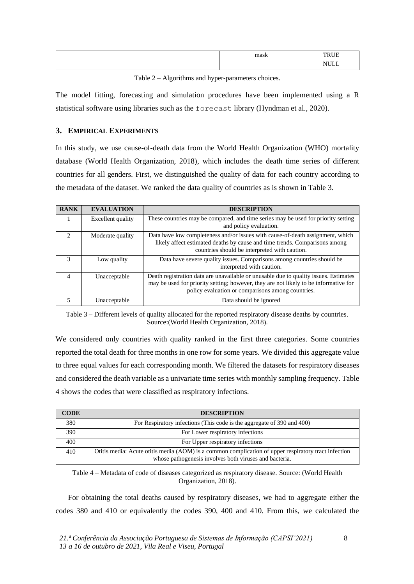| mool<br>шаѕк | -----                       |
|--------------|-----------------------------|
|              | 2.777<br>$\mathbf{v}$<br>◡◡ |

Table 2 – Algorithms and hyper-parameters choices.

The model fitting, forecasting and simulation procedures have been implemented using a R statistical software using libraries such as the forecast library (Hyndman et al., 2020).

## **3. EMPIRICAL EXPERIMENTS**

In this study, we use cause-of-death data from the World Health Organization (WHO) mortality database (World Health Organization, 2018), which includes the death time series of different countries for all genders. First, we distinguished the quality of data for each country according to the metadata of the dataset. We ranked the data quality of countries as is shown in Table 3.

| <b>RANK</b>   | <b>EVALUATION</b> | <b>DESCRIPTION</b>                                                                                                                                                                                                                |
|---------------|-------------------|-----------------------------------------------------------------------------------------------------------------------------------------------------------------------------------------------------------------------------------|
|               | Excellent quality | These countries may be compared, and time series may be used for priority setting<br>and policy evaluation.                                                                                                                       |
| $\mathcal{D}$ | Moderate quality  | Data have low completeness and/or issues with cause-of-death assignment, which<br>likely affect estimated deaths by cause and time trends. Comparisons among<br>countries should be interpreted with caution.                     |
| 3             | Low quality       | Data have severe quality issues. Comparisons among countries should be<br>interpreted with caution.                                                                                                                               |
| 4             | Unacceptable      | Death registration data are unavailable or unusable due to quality issues. Estimates<br>may be used for priority setting; however, they are not likely to be informative for<br>policy evaluation or comparisons among countries. |
|               | Unacceptable      | Data should be ignored                                                                                                                                                                                                            |

Table 3 – Different levels of quality allocated for the reported respiratory disease deaths by countries. Source:(World Health Organization, 2018).

We considered only countries with quality ranked in the first three categories. Some countries reported the total death for three months in one row for some years. We divided this aggregate value to three equal values for each corresponding month. We filtered the datasets for respiratory diseases and considered the death variable as a univariate time series with monthly sampling frequency. Table 4 shows the codes that were classified as respiratory infections.

| <b>CODE</b> | <b>DESCRIPTION</b>                                                                                                                                             |
|-------------|----------------------------------------------------------------------------------------------------------------------------------------------------------------|
| 380         | For Respiratory infections (This code is the aggregate of 390 and 400)                                                                                         |
| 390         | For Lower respiratory infections                                                                                                                               |
| 400         | For Upper respiratory infections                                                                                                                               |
| 410         | Otitis media: Acute otitis media (AOM) is a common complication of upper respiratory tract infection<br>whose pathogenesis involves both viruses and bacteria. |
|             |                                                                                                                                                                |

Table 4 – Metadata of code of diseases categorized as respiratory disease. Source: (World Health Organization, 2018).

For obtaining the total deaths caused by respiratory diseases, we had to aggregate either the codes 380 and 410 or equivalently the codes 390, 400 and 410. From this, we calculated the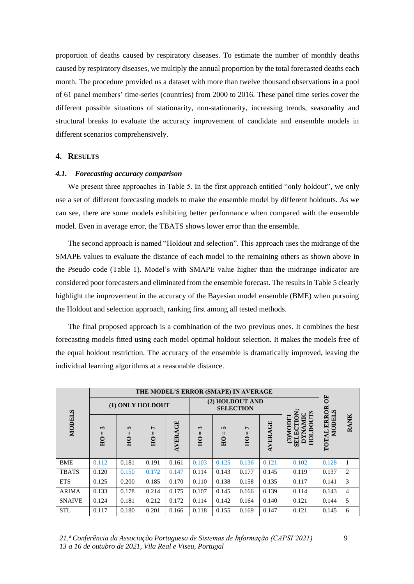proportion of deaths caused by respiratory diseases. To estimate the number of monthly deaths caused by respiratory diseases, we multiply the annual proportion by the total forecasted deaths each month. The procedure provided us a dataset with more than twelve thousand observations in a pool of 61 panel members' time-series (countries) from 2000 to 2016. These panel time series cover the different possible situations of stationarity, non-stationarity, increasing trends, seasonality and structural breaks to evaluate the accuracy improvement of candidate and ensemble models in different scenarios comprehensively.

## **4. RESULTS**

#### *4.1. Forecasting accuracy comparison*

We present three approaches in Table 5. In the first approach entitled "only holdout", we only use a set of different forecasting models to make the ensemble model by different holdouts. As we can see, there are some models exhibiting better performance when compared with the ensemble model. Even in average error, the TBATS shows lower error than the ensemble.

The second approach is named "Holdout and selection". This approach uses the midrange of the SMAPE values to evaluate the distance of each model to the remaining others as shown above in the Pseudo code (Table 1). Model's with SMAPE value higher than the midrange indicator are considered poor forecasters and eliminated from the ensemble forecast. The results in Table 5 clearly highlight the improvement in the accuracy of the Bayesian model ensemble (BME) when pursuing the Holdout and selection approach, ranking first among all tested methods.

The final proposed approach is a combination of the two previous ones. It combines the best forecasting models fitted using each model optimal holdout selection. It makes the models free of the equal holdout restriction. The accuracy of the ensemble is dramatically improved, leaving the individual learning algorithms at a reasonable distance.

|               |                                                |                                                 | THE MODEL'S ERROR (SMAPE) IN AVERAGE              |                |                                     |                                     |                                |         |                                                        |                                |                |
|---------------|------------------------------------------------|-------------------------------------------------|---------------------------------------------------|----------------|-------------------------------------|-------------------------------------|--------------------------------|---------|--------------------------------------------------------|--------------------------------|----------------|
|               |                                                | (1) ONLY HOLDOUT                                |                                                   |                |                                     | (2) HOLDOUT AND<br><b>SELECTION</b> |                                |         | $\overline{\bf{5}}$<br>Š                               |                                |                |
| <b>MODELS</b> | $\mathbf{r}$<br>$\mathbf{H}$<br>H <sub>0</sub> | $\mathbf{v}$<br>$\mathsf{II}$<br>E <sub>0</sub> | $\overline{ }$<br>$\mathsf{II}$<br>$\overline{H}$ | <b>AVERAGE</b> | $\sim$<br>$\mathbf{H}$<br><b>HO</b> | 5<br>Ш<br>HO                        | Ļ<br>$\mathbf{I}$<br><b>HO</b> | AVERAGE | CLO<br>SELECTION<br>(3)MODEI<br><b>DYNAMI</b><br>HOLDO | ERROR<br><b>MODEI</b><br>TOTAL | <b>RANK</b>    |
| <b>BME</b>    | 0.112                                          | 0.181                                           | 0.191                                             | 0.161          | 0.103                               | 0.125                               | 0.136                          | 0.121   | 0.102                                                  | 0.128                          |                |
| <b>TBATS</b>  | 0.120                                          | 0.150                                           | 0.172                                             | 0.147          | 0.114                               | 0.143                               | 0.177                          | 0.145   | 0.119                                                  | 0.137                          | 2              |
| <b>ETS</b>    | 0.125                                          | 0.200                                           | 0.185                                             | 0.170          | 0.110                               | 0.138                               | 0.158                          | 0.135   | 0.117                                                  | 0.141                          | 3              |
| <b>ARIMA</b>  | 0.133                                          | 0.178                                           | 0.214                                             | 0.175          | 0.107                               | 0.145                               | 0.166                          | 0.139   | 0.114                                                  | 0.143                          | $\overline{4}$ |
| <b>SNAIVE</b> | 0.124                                          | 0.181                                           | 0.212                                             | 0.172          | 0.114                               | 0.142                               | 0.164                          | 0.140   | 0.121                                                  | 0.144                          | 5              |
| <b>STL</b>    | 0.117                                          | 0.180                                           | 0.201                                             | 0.166          | 0.118                               | 0.155                               | 0.169                          | 0.147   | 0.121                                                  | 0.145                          | 6              |

*21.ª Conferência da Associação Portuguesa de Sistemas de Informação (CAPSI'2021) 13 a 16 de outubro de 2021, Vila Real e Viseu, Portugal*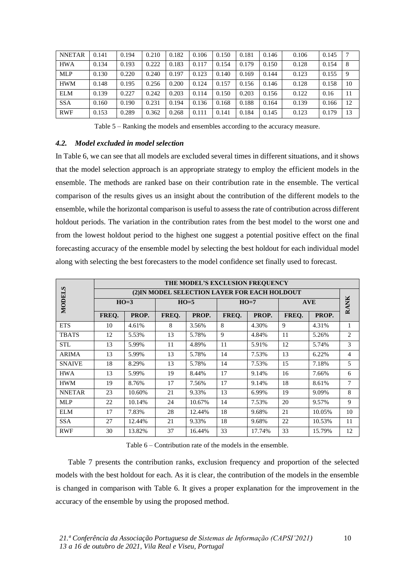| <b>NNETAR</b> | 0.141 | 0.194 | 0.210 | 0.182 | 0.106 | 0.150 | 0.181 | 0.146 | 0.106 | 0.145 |    |
|---------------|-------|-------|-------|-------|-------|-------|-------|-------|-------|-------|----|
| <b>HWA</b>    | 0.134 | 0.193 | 0.222 | 0.183 | 0.117 | 0.154 | 0.179 | 0.150 | 0.128 | 0.154 | 8  |
| <b>MLP</b>    | 0.130 | 0.220 | 0.240 | 0.197 | 0.123 | 0.140 | 0.169 | 0.144 | 0.123 | 0.155 | 9  |
| <b>HWM</b>    | 0.148 | 0.195 | 0.256 | 0.200 | 0.124 | 0.157 | 0.156 | 0.146 | 0.128 | 0.158 | 10 |
| <b>ELM</b>    | 0.139 | 0.227 | 0.242 | 0.203 | 0.114 | 0.150 | 0.203 | 0.156 | 0.122 | 0.16  | 11 |
| <b>SSA</b>    | 0.160 | 0.190 | 0.231 | 0.194 | 0.136 | 0.168 | 0.188 | 0.164 | 0.139 | 0.166 | 12 |
| <b>RWF</b>    | 0.153 | 0.289 | 0.362 | 0.268 | 0.111 | 0.141 | 0.184 | 0.145 | 0.123 | 0.179 | 13 |

Table 5 – Ranking the models and ensembles according to the accuracy measure.

## *4.2. Model excluded in model selection*

In Table 6, we can see that all models are excluded several times in different situations, and it shows that the model selection approach is an appropriate strategy to employ the efficient models in the ensemble. The methods are ranked base on their contribution rate in the ensemble. The vertical comparison of the results gives us an insight about the contribution of the different models to the ensemble, while the horizontal comparison is useful to assess the rate of contribution across different holdout periods. The variation in the contribution rates from the best model to the worst one and from the lowest holdout period to the highest one suggest a potential positive effect on the final forecasting accuracy of the ensemble model by selecting the best holdout for each individual model along with selecting the best forecasters to the model confidence set finally used to forecast.

|               |       |        |    | THE MODEL'S EXCLUSION FREQUENCY               |    |                |            |                |                |
|---------------|-------|--------|----|-----------------------------------------------|----|----------------|------------|----------------|----------------|
|               |       |        |    | (2) IN MODEL SELECTION LAYER FOR EACH HOLDOUT |    |                |            |                |                |
| <b>MODELS</b> |       | $HO=3$ |    | $HO=5$                                        |    | $HO=7$         | <b>AVE</b> | <b>RANK</b>    |                |
|               | FREQ. | PROP.  |    | FREQ.<br>PROP.                                |    | PROP.<br>FREO. |            | FREO.<br>PROP. |                |
| <b>ETS</b>    | 10    | 4.61%  | 8  | 3.56%                                         | 8  | 4.30%          | 9          | 4.31%          | 1              |
| <b>TBATS</b>  | 12    | 5.53%  | 13 | 5.78%                                         | 9  | 4.84%          | 11         | 5.26%          | $\overline{c}$ |
| <b>STL</b>    | 13    | 5.99%  | 11 | 4.89%                                         | 11 | 5.91%          | 12         | 5.74%          | 3              |
| <b>ARIMA</b>  | 13    | 5.99%  | 13 | 5.78%                                         | 14 | 7.53%          | 13         | 6.22%          | $\overline{4}$ |
| <b>SNAIVE</b> | 18    | 8.29%  | 13 | 5.78%                                         | 14 | 7.53%          | 15         | 7.18%          | 5              |
| <b>HWA</b>    | 13    | 5.99%  | 19 | 8.44%                                         | 17 | 9.14%          | 16         | 7.66%          | 6              |
| <b>HWM</b>    | 19    | 8.76%  | 17 | 7.56%                                         | 17 | 9.14%          | 18         | 8.61%          | 7              |
| <b>NNETAR</b> | 23    | 10.60% | 21 | 9.33%                                         | 13 | 6.99%          | 19         | 9.09%          | 8              |
| <b>MLP</b>    | 22    | 10.14% | 24 | 10.67%                                        | 14 | 7.53%          | 20         | 9.57%          | 9              |
| <b>ELM</b>    | 17    | 7.83%  | 28 | 12.44%                                        | 18 | 9.68%          | 21         | 10.05%         | 10             |
| <b>SSA</b>    | 27    | 12.44% | 21 | 9.33%                                         | 18 | 9.68%          | 22         | 10.53%         | 11             |
| <b>RWF</b>    | 30    | 13.82% | 37 | 16.44%                                        | 33 | 17.74%         | 33         | 15.79%         | 12             |

Table 6 – Contribution rate of the models in the ensemble.

Table 7 presents the contribution ranks, exclusion frequency and proportion of the selected models with the best holdout for each. As it is clear, the contribution of the models in the ensemble is changed in comparison with Table 6. It gives a proper explanation for the improvement in the accuracy of the ensemble by using the proposed method.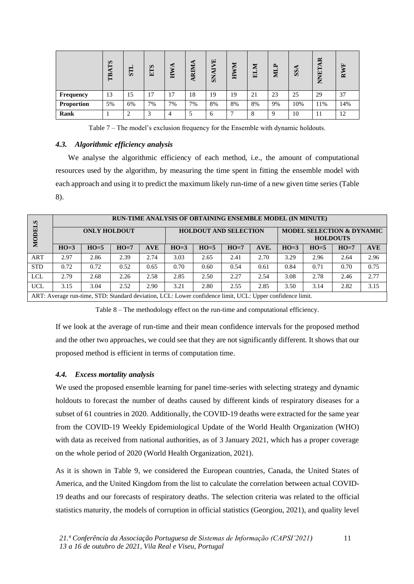|            | SJ<br>E | STI | <b>ETS</b> | HWA | 宝<br>$\mathbb{R}$<br>⋖ | Ë<br>ч.<br>⇁<br>5 | 宝<br>耳 | 宝<br>−<br>囯 | <b>p</b><br>図 | SS  | ≃<br>囙<br>⇁<br>Ş<br>← | RWF |
|------------|---------|-----|------------|-----|------------------------|-------------------|--------|-------------|---------------|-----|-----------------------|-----|
| Frequency  | 13      | 15  | 17         | 17  | 18                     | 19                | 19     | 21          | 23            | 25  | 29                    | 37  |
| Proportion | 5%      | 6%  | 7%         | 7%  | 7%                     | 8%                | 8%     | 8%          | 9%            | 10% | 11%                   | 14% |
| Rank       |         | ◠   | $\sim$     | 4   |                        | 6                 |        | 8           | 9             | 10  | 11                    | 12  |

Table 7 – The model's exclusion frequency for the Ensemble with dynamic holdouts.

## *4.3. Algorithmic efficiency analysis*

We analyse the algorithmic efficiency of each method, i.e., the amount of computational resources used by the algorithm, by measuring the time spent in fitting the ensemble model with each approach and using it to predict the maximum likely run-time of a new given time series (Table 8).

| Q          | RUN-TIME ANALYSIS OF OBTAINING ENSEMBLE MODEL (IN MINUTE) |                     |                                                                                                           |            |                              |        |        |      |                                                         |        |        |            |
|------------|-----------------------------------------------------------|---------------------|-----------------------------------------------------------------------------------------------------------|------------|------------------------------|--------|--------|------|---------------------------------------------------------|--------|--------|------------|
| 듸<br>MOD   |                                                           | <b>ONLY HOLDOUT</b> |                                                                                                           |            | <b>HOLDOUT AND SELECTION</b> |        |        |      | <b>MODEL SELECTION &amp; DYNAMIC</b><br><b>HOLDOUTS</b> |        |        |            |
|            | $HO=3$                                                    | $HO=5$              | $HO=7$                                                                                                    | <b>AVE</b> | $HO=3$                       | $HO=5$ | $HO=7$ | AVE. | $HO=3$                                                  | $HO=5$ | $HO=7$ | <b>AVE</b> |
| <b>ART</b> | 2.97                                                      | 2.86                | 2.39                                                                                                      | 2.74       | 3.03                         | 2.65   | 2.41   | 2.70 | 3.29                                                    | 2.96   | 2.64   | 2.96       |
| <b>STD</b> | 0.72                                                      | 0.72                | 0.52                                                                                                      | 0.65       | 0.70                         | 0.60   | 0.54   | 0.61 | 0.84                                                    | 0.71   | 0.70   | 0.75       |
| <b>LCL</b> | 2.79                                                      | 2.68                | 2.26                                                                                                      | 2.58       | 2.85                         | 2.50   | 2.27   | 2.54 | 3.08                                                    | 2.78   | 2.46   | 2.77       |
| <b>UCL</b> | 3.15                                                      | 3.04                | 2.52                                                                                                      | 2.90       | 3.21                         | 2.80   | 2.55   | 2.85 | 3.50                                                    | 3.14   | 2.82   | 3.15       |
|            |                                                           |                     | ART: Average run-time, STD: Standard deviation, LCL: Lower confidence limit, UCL: Upper confidence limit. |            |                              |        |        |      |                                                         |        |        |            |

Table 8 – The methodology effect on the run-time and computational efficiency.

If we look at the average of run-time and their mean confidence intervals for the proposed method and the other two approaches, we could see that they are not significantly different. It shows that our proposed method is efficient in terms of computation time.

## *4.4. Excess mortality analysis*

We used the proposed ensemble learning for panel time-series with selecting strategy and dynamic holdouts to forecast the number of deaths caused by different kinds of respiratory diseases for a subset of 61 countries in 2020. Additionally, the COVID-19 deaths were extracted for the same year from the COVID-19 Weekly Epidemiological Update of the World Health Organization (WHO) with data as received from national authorities, as of 3 January 2021, which has a proper coverage on the whole period of 2020 (World Health Organization, 2021).

As it is shown in Table 9, we considered the European countries, Canada, the United States of America, and the United Kingdom from the list to calculate the correlation between actual COVID-19 deaths and our forecasts of respiratory deaths. The selection criteria was related to the official statistics maturity, the models of corruption in official statistics (Georgiou, 2021), and quality level

11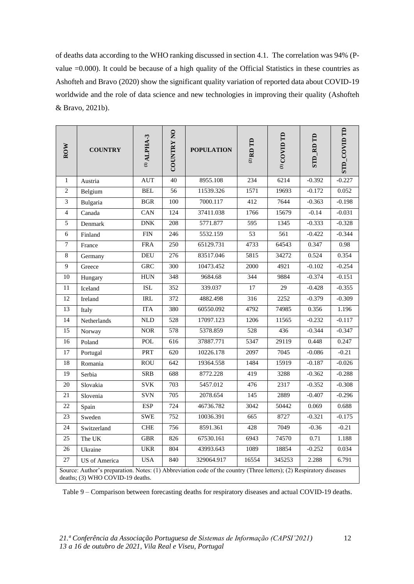of deaths data according to the WHO ranking discussed in section 4.1. The correlation was 94% (Pvalue =0.000). It could be because of a high quality of the Official Statistics in these countries as Ashofteh and Bravo (2020) show the significant quality variation of reported data about COVID-19 worldwide and the role of data science and new technologies in improving their quality (Ashofteh & Bravo, 2021b).

| <b>ROW</b>     | <b>COUNTRY</b>                                                                                                                                          | $(D$ ALPHA-3 | $\mathbf{S}$<br><b>COUNTRY</b> | <b>POPULATION</b> | $^{(2)}$ RD TD | (3) COVID TD | $\textbf{SID}$ RD $\textbf{TD}$ | <b>STD_COVID TD</b> |
|----------------|---------------------------------------------------------------------------------------------------------------------------------------------------------|--------------|--------------------------------|-------------------|----------------|--------------|---------------------------------|---------------------|
| $\mathbf{1}$   | Austria                                                                                                                                                 | <b>AUT</b>   | 40                             | 8955.108          | 234            | 6214         | $-0.392$                        | $-0.227$            |
| $\overline{2}$ | Belgium                                                                                                                                                 | <b>BEL</b>   | 56                             | 11539.326         | 1571           | 19693        | $-0.172$                        | 0.052               |
| 3              | Bulgaria                                                                                                                                                | <b>BGR</b>   | 100                            | 7000.117          | 412            | 7644         | $-0.363$                        | $-0.198$            |
| $\overline{4}$ | Canada                                                                                                                                                  | CAN          | 124                            | 37411.038         | 1766           | 15679        | $-0.14$                         | $-0.031$            |
| 5              | Denmark                                                                                                                                                 | <b>DNK</b>   | 208                            | 5771.877          | 595            | 1345         | $-0.333$                        | $-0.328$            |
| 6              | Finland                                                                                                                                                 | <b>FIN</b>   | 246                            | 5532.159          | 53             | 561          | $-0.422$                        | $-0.344$            |
| 7              | France                                                                                                                                                  | <b>FRA</b>   | 250                            | 65129.731         | 4733           | 64543        | 0.347                           | 0.98                |
| 8              | Germany                                                                                                                                                 | <b>DEU</b>   | 276                            | 83517.046         | 5815           | 34272        | 0.524                           | 0.354               |
| 9              | Greece                                                                                                                                                  | GRC          | $\overline{300}$               | 10473.452         | 2000           | 4921         | $-0.102$                        | $-0.254$            |
| 10             | Hungary                                                                                                                                                 | <b>HUN</b>   | 348                            | 9684.68           | 344            | 9884         | $-0.374$                        | $-0.151$            |
| 11             | Iceland                                                                                                                                                 | <b>ISL</b>   | 352                            | 339.037           | 17             | 29           | $-0.428$                        | $-0.355$            |
| 12             | Ireland                                                                                                                                                 | <b>IRL</b>   | 372                            | 4882.498          | 316            | 2252         | $-0.379$                        | $-0.309$            |
| 13             | Italy                                                                                                                                                   | <b>ITA</b>   | 380                            | 60550.092         | 4792           | 74985        | 0.356                           | 1.196               |
| 14             | Netherlands                                                                                                                                             | <b>NLD</b>   | 528                            | 17097.123         | 1206           | 11565        | $-0.232$                        | $-0.117$            |
| 15             | Norway                                                                                                                                                  | <b>NOR</b>   | 578                            | 5378.859          | 528            | 436          | $-0.344$                        | $-0.347$            |
| 16             | Poland                                                                                                                                                  | POL          | 616                            | 37887.771         | 5347           | 29119        | 0.448                           | 0.247               |
| 17             | Portugal                                                                                                                                                | <b>PRT</b>   | 620                            | 10226.178         | 2097           | 7045         | $-0.086$                        | $-0.21$             |
| 18             | Romania                                                                                                                                                 | <b>ROU</b>   | 642                            | 19364.558         | 1484           | 15919        | $-0.187$                        | $-0.026$            |
| 19             | Serbia                                                                                                                                                  | <b>SRB</b>   | 688                            | 8772.228          | 419            | 3288         | $-0.362$                        | $-0.288$            |
| 20             | Slovakia                                                                                                                                                | <b>SVK</b>   | 703                            | 5457.012          | 476            | 2317         | $-0.352$                        | $-0.308$            |
| 21             | Slovenia                                                                                                                                                | <b>SVN</b>   | 705                            | 2078.654          | 145            | 2889         | $-0.407$                        | $-0.296$            |
| 22             | Spain                                                                                                                                                   | <b>ESP</b>   | 724                            | 46736.782         | 3042           | 50442        | 0.069                           | 0.688               |
| 23             | Sweden                                                                                                                                                  | <b>SWE</b>   | 752                            | 10036.391         | 665            | 8727         | $-0.321$                        | $-0.175$            |
| 24             | Switzerland                                                                                                                                             | <b>CHE</b>   | 756                            | 8591.361          | 428            | 7049         | $-0.36$                         | $-0.21$             |
| 25             | The UK                                                                                                                                                  | <b>GBR</b>   | 826                            | 67530.161         | 6943           | 74570        | 0.71                            | 1.188               |
| 26             | Ukraine                                                                                                                                                 | <b>UKR</b>   | 804                            | 43993.643         | 1089           | 18854        | $-0.252$                        | 0.034               |
| 27             | <b>US</b> of America                                                                                                                                    | <b>USA</b>   | 840                            | 329064.917        | 16554          | 345253       | 2.288                           | 6.791               |
|                | Source: Author's preparation. Notes: (1) Abbreviation code of the country (Three letters); (2) Respiratory diseases<br>deaths; (3) WHO COVID-19 deaths. |              |                                |                   |                |              |                                 |                     |

Table 9 – Comparison between forecasting deaths for respiratory diseases and actual COVID-19 deaths.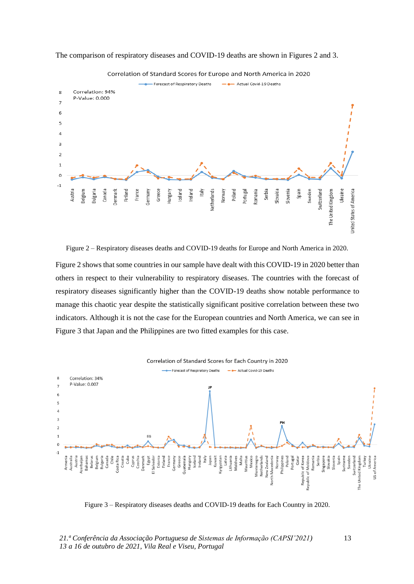

The comparison of respiratory diseases and COVID-19 deaths are shown in Figures 2 and 3.

Correlation of Standard Scores for Europe and North America in 2020

Figure 2 – Respiratory diseases deaths and COVID-19 deaths for Europe and North America in 2020.

Figure 2 shows that some countries in our sample have dealt with this COVID-19 in 2020 better than others in respect to their vulnerability to respiratory diseases. The countries with the forecast of respiratory diseases significantly higher than the COVID-19 deaths show notable performance to manage this chaotic year despite the statistically significant positive correlation between these two indicators. Although it is not the case for the European countries and North America, we can see in Figure 3 that Japan and the Philippines are two fitted examples for this case.



Figure 3 – Respiratory diseases deaths and COVID-19 deaths for Each Country in 2020.

13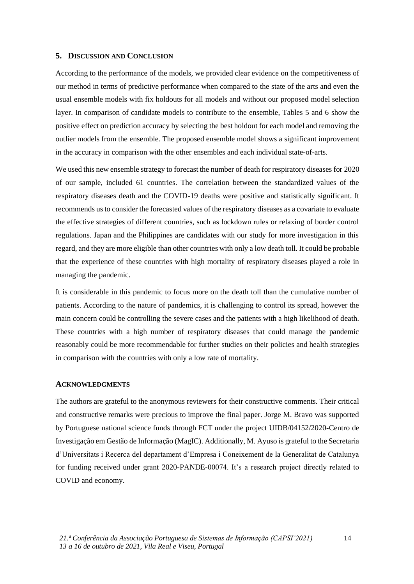## **5. DISCUSSION AND CONCLUSION**

According to the performance of the models, we provided clear evidence on the competitiveness of our method in terms of predictive performance when compared to the state of the arts and even the usual ensemble models with fix holdouts for all models and without our proposed model selection layer. In comparison of candidate models to contribute to the ensemble, Tables 5 and 6 show the positive effect on prediction accuracy by selecting the best holdout for each model and removing the outlier models from the ensemble. The proposed ensemble model shows a significant improvement in the accuracy in comparison with the other ensembles and each individual state-of-arts.

We used this new ensemble strategy to forecast the number of death for respiratory diseases for 2020 of our sample, included 61 countries. The correlation between the standardized values of the respiratory diseases death and the COVID-19 deaths were positive and statistically significant. It recommends us to consider the forecasted values of the respiratory diseases as a covariate to evaluate the effective strategies of different countries, such as lockdown rules or relaxing of border control regulations. Japan and the Philippines are candidates with our study for more investigation in this regard, and they are more eligible than other countries with only a low death toll. It could be probable that the experience of these countries with high mortality of respiratory diseases played a role in managing the pandemic.

It is considerable in this pandemic to focus more on the death toll than the cumulative number of patients. According to the nature of pandemics, it is challenging to control its spread, however the main concern could be controlling the severe cases and the patients with a high likelihood of death. These countries with a high number of respiratory diseases that could manage the pandemic reasonably could be more recommendable for further studies on their policies and health strategies in comparison with the countries with only a low rate of mortality.

### **ACKNOWLEDGMENTS**

The authors are grateful to the anonymous reviewers for their constructive comments. Their critical and constructive remarks were precious to improve the final paper. Jorge M. Bravo was supported by Portuguese national science funds through FCT under the project UIDB/04152/2020-Centro de Investigação em Gestão de Informação (MagIC). Additionally, M. Ayuso is grateful to the Secretaria d'Universitats i Recerca del departament d'Empresa i Coneixement de la Generalitat de Catalunya for funding received under grant 2020-PANDE-00074. It's a research project directly related to COVID and economy.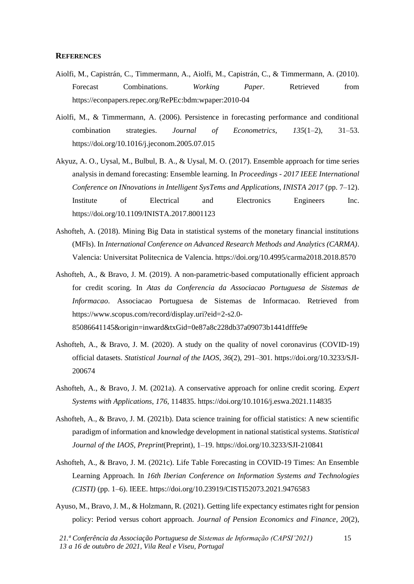#### **REFERENCES**

- Aiolfi, M., Capistrán, C., Timmermann, A., Aiolfi, M., Capistrán, C., & Timmermann, A. (2010). Forecast Combinations. *Working Paper*. Retrieved from https://econpapers.repec.org/RePEc:bdm:wpaper:2010-04
- Aiolfi, M., & Timmermann, A. (2006). Persistence in forecasting performance and conditional combination strategies. *Journal of Econometrics*, *135*(1–2), 31–53. https://doi.org/10.1016/j.jeconom.2005.07.015
- Akyuz, A. O., Uysal, M., Bulbul, B. A., & Uysal, M. O. (2017). Ensemble approach for time series analysis in demand forecasting: Ensemble learning. In *Proceedings - 2017 IEEE International Conference on INnovations in Intelligent SysTems and Applications, INISTA 2017* (pp. 7–12). Institute of Electrical and Electronics Engineers Inc. https://doi.org/10.1109/INISTA.2017.8001123
- Ashofteh, A. (2018). Mining Big Data in statistical systems of the monetary financial institutions (MFIs). In *International Conference on Advanced Research Methods and Analytics (CARMA)*. Valencia: Universitat Politecnica de Valencia. https://doi.org/10.4995/carma2018.2018.8570
- Ashofteh, A., & Bravo, J. M. (2019). A non-parametric-based computationally efficient approach for credit scoring. In *Atas da Conferencia da Associacao Portuguesa de Sistemas de Informacao*. Associacao Portuguesa de Sistemas de Informacao. Retrieved from https://www.scopus.com/record/display.uri?eid=2-s2.0- 85086641145&origin=inward&txGid=0e87a8c228db37a09073b1441dfffe9e
- Ashofteh, A., & Bravo, J. M. (2020). A study on the quality of novel coronavirus (COVID-19) official datasets. *Statistical Journal of the IAOS*, *36*(2), 291–301. https://doi.org/10.3233/SJI-200674
- Ashofteh, A., & Bravo, J. M. (2021a). A conservative approach for online credit scoring. *Expert Systems with Applications*, *176*, 114835. https://doi.org/10.1016/j.eswa.2021.114835
- Ashofteh, A., & Bravo, J. M. (2021b). Data science training for official statistics: A new scientific paradigm of information and knowledge development in national statistical systems. *Statistical Journal of the IAOS*, *Preprint*(Preprint), 1–19. https://doi.org/10.3233/SJI-210841
- Ashofteh, A., & Bravo, J. M. (2021c). Life Table Forecasting in COVID-19 Times: An Ensemble Learning Approach. In *16th Iberian Conference on Information Systems and Technologies (CISTI)* (pp. 1–6). IEEE. https://doi.org/10.23919/CISTI52073.2021.9476583
- Ayuso, M., Bravo, J. M., & Holzmann, R. (2021). Getting life expectancy estimates right for pension policy: Period versus cohort approach. *Journal of Pension Economics and Finance*, *20*(2),

15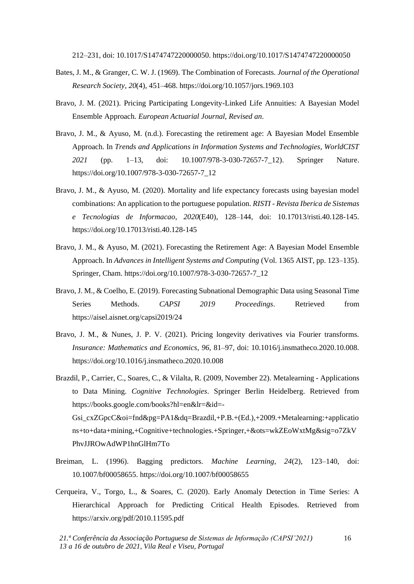212–231, doi: 10.1017/S1474747220000050. https://doi.org/10.1017/S1474747220000050

- Bates, J. M., & Granger, C. W. J. (1969). The Combination of Forecasts. *Journal of the Operational Research Society*, *20*(4), 451–468. https://doi.org/10.1057/jors.1969.103
- Bravo, J. M. (2021). Pricing Participating Longevity-Linked Life Annuities: A Bayesian Model Ensemble Approach. *European Actuarial Journal*, *Revised an*.
- Bravo, J. M., & Ayuso, M. (n.d.). Forecasting the retirement age: A Bayesian Model Ensemble Approach. In *Trends and Applications in Information Systems and Technologies, WorldCIST 2021* (pp. 1–13, doi: 10.1007/978-3-030-72657-7\_12). Springer Nature. https://doi.org/10.1007/978-3-030-72657-7\_12
- Bravo, J. M., & Ayuso, M. (2020). Mortality and life expectancy forecasts using bayesian model combinations: An application to the portuguese population. *RISTI - Revista Iberica de Sistemas e Tecnologias de Informacao*, *2020*(E40), 128–144, doi: 10.17013/risti.40.128-145. https://doi.org/10.17013/risti.40.128-145
- Bravo, J. M., & Ayuso, M. (2021). Forecasting the Retirement Age: A Bayesian Model Ensemble Approach. In *Advances in Intelligent Systems and Computing* (Vol. 1365 AIST, pp. 123–135). Springer, Cham. https://doi.org/10.1007/978-3-030-72657-7\_12
- Bravo, J. M., & Coelho, E. (2019). Forecasting Subnational Demographic Data using Seasonal Time Series Methods. *CAPSI 2019 Proceedings*. Retrieved from https://aisel.aisnet.org/capsi2019/24
- Bravo, J. M., & Nunes, J. P. V. (2021). Pricing longevity derivatives via Fourier transforms. *Insurance: Mathematics and Economics*, *96*, 81–97, doi: 10.1016/j.insmatheco.2020.10.008. https://doi.org/10.1016/j.insmatheco.2020.10.008
- Brazdil, P., Carrier, C., Soares, C., & Vilalta, R. (2009, November 22). Metalearning Applications to Data Mining. *Cognitive Technologies*. Springer Berlin Heidelberg. Retrieved from https://books.google.com/books?hl=en&lr=&id=-

Gsi\_cxZGpcC&oi=fnd&pg=PA1&dq=Brazdil,+P.B.+(Ed.),+2009.+Metalearning:+applicatio ns+to+data+mining,+Cognitive+technologies.+Springer,+&ots=wkZEoWxtMg&sig=o7ZkV PhvJJROwAdWP1hnGlHm7To

- Breiman, L. (1996). Bagging predictors. *Machine Learning*, *24*(2), 123–140, doi: 10.1007/bf00058655. https://doi.org/10.1007/bf00058655
- Cerqueira, V., Torgo, L., & Soares, C. (2020). Early Anomaly Detection in Time Series: A Hierarchical Approach for Predicting Critical Health Episodes. Retrieved from https://arxiv.org/pdf/2010.11595.pdf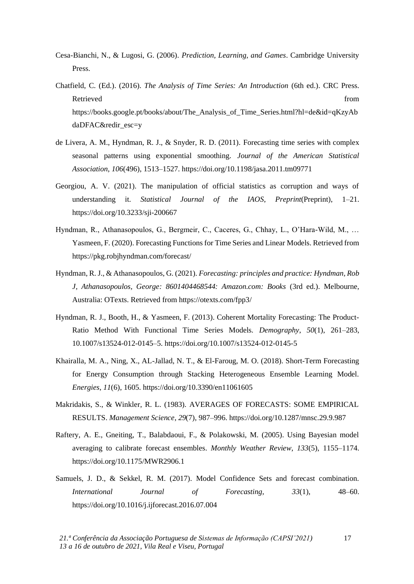- Cesa-Bianchi, N., & Lugosi, G. (2006). *Prediction, Learning, and Games*. Cambridge University Press.
- Chatfield, C. (Ed.). (2016). *The Analysis of Time Series: An Introduction* (6th ed.). CRC Press. Retrieved from the state of the state of the state of the state of the state of the state of the state of the state of the state of the state of the state of the state of the state of the state of the state of the state of https://books.google.pt/books/about/The\_Analysis\_of\_Time\_Series.html?hl=de&id=qKzyAb daDFAC&redir\_esc=y
- de Livera, A. M., Hyndman, R. J., & Snyder, R. D. (2011). Forecasting time series with complex seasonal patterns using exponential smoothing. *Journal of the American Statistical Association*, *106*(496), 1513–1527. https://doi.org/10.1198/jasa.2011.tm09771
- Georgiou, A. V. (2021). The manipulation of official statistics as corruption and ways of understanding it. *Statistical Journal of the IAOS*, *Preprint*(Preprint), 1–21. https://doi.org/10.3233/sji-200667
- Hyndman, R., Athanasopoulos, G., Bergmeir, C., Caceres, G., Chhay, L., O'Hara-Wild, M., … Yasmeen, F. (2020). Forecasting Functions for Time Series and Linear Models. Retrieved from https://pkg.robjhyndman.com/forecast/
- Hyndman, R. J., & Athanasopoulos, G. (2021). *Forecasting: principles and practice: Hyndman, Rob J, Athanasopoulos, George: 8601404468544: Amazon.com: Books* (3rd ed.). Melbourne, Australia: OTexts. Retrieved from https://otexts.com/fpp3/
- Hyndman, R. J., Booth, H., & Yasmeen, F. (2013). Coherent Mortality Forecasting: The Product-Ratio Method With Functional Time Series Models. *Demography*, *50*(1), 261–283, 10.1007/s13524-012-0145–5. https://doi.org/10.1007/s13524-012-0145-5
- Khairalla, M. A., Ning, X., AL-Jallad, N. T., & El-Faroug, M. O. (2018). Short-Term Forecasting for Energy Consumption through Stacking Heterogeneous Ensemble Learning Model. *Energies*, *11*(6), 1605. https://doi.org/10.3390/en11061605
- Makridakis, S., & Winkler, R. L. (1983). AVERAGES OF FORECASTS: SOME EMPIRICAL RESULTS. *Management Science*, *29*(7), 987–996. https://doi.org/10.1287/mnsc.29.9.987
- Raftery, A. E., Gneiting, T., Balabdaoui, F., & Polakowski, M. (2005). Using Bayesian model averaging to calibrate forecast ensembles. *Monthly Weather Review*, *133*(5), 1155–1174. https://doi.org/10.1175/MWR2906.1
- Samuels, J. D., & Sekkel, R. M. (2017). Model Confidence Sets and forecast combination. *International Journal of Forecasting*, *33*(1), 48–60. https://doi.org/10.1016/j.ijforecast.2016.07.004